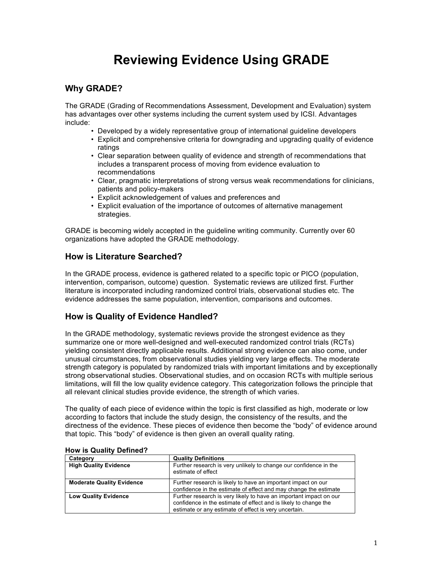# **Reviewing Evidence Using GRADE**

## **Why GRADE?**

The GRADE (Grading of Recommendations Assessment, Development and Evaluation) system has advantages over other systems including the current system used by ICSI. Advantages include:

- Developed by a widely representative group of international guideline developers
- Explicit and comprehensive criteria for downgrading and upgrading quality of evidence ratings
- Clear separation between quality of evidence and strength of recommendations that includes a transparent process of moving from evidence evaluation to recommendations
- Clear, pragmatic interpretations of strong versus weak recommendations for clinicians, patients and policy-makers
- Explicit acknowledgement of values and preferences and
- Explicit evaluation of the importance of outcomes of alternative management strategies.

GRADE is becoming widely accepted in the guideline writing community. Currently over 60 organizations have adopted the GRADE methodology.

## **How is Literature Searched?**

In the GRADE process, evidence is gathered related to a specific topic or PICO (population, intervention, comparison, outcome) question. Systematic reviews are utilized first. Further literature is incorporated including randomized control trials, observational studies etc. The evidence addresses the same population, intervention, comparisons and outcomes.

## **How is Quality of Evidence Handled?**

In the GRADE methodology, systematic reviews provide the strongest evidence as they summarize one or more well-designed and well-executed randomized control trials (RCTs) yielding consistent directly applicable results. Additional strong evidence can also come, under unusual circumstances, from observational studies yielding very large effects. The moderate strength category is populated by randomized trials with important limitations and by exceptionally strong observational studies. Observational studies, and on occasion RCTs with multiple serious limitations, will fill the low quality evidence category. This categorization follows the principle that all relevant clinical studies provide evidence, the strength of which varies.

The quality of each piece of evidence within the topic is first classified as high, moderate or low according to factors that include the study design, the consistency of the results, and the directness of the evidence. These pieces of evidence then become the "body" of evidence around that topic. This "body" of evidence is then given an overall quality rating.

| Category                         | <b>Quality Definitions</b>                                                                                                                                                                      |
|----------------------------------|-------------------------------------------------------------------------------------------------------------------------------------------------------------------------------------------------|
| <b>High Quality Evidence</b>     | Further research is very unlikely to change our confidence in the<br>estimate of effect                                                                                                         |
| <b>Moderate Quality Evidence</b> | Further research is likely to have an important impact on our<br>confidence in the estimate of effect and may change the estimate                                                               |
| <b>Low Quality Evidence</b>      | Further research is very likely to have an important impact on our<br>confidence in the estimate of effect and is likely to change the<br>estimate or any estimate of effect is very uncertain. |

#### **How is Quality Defined?**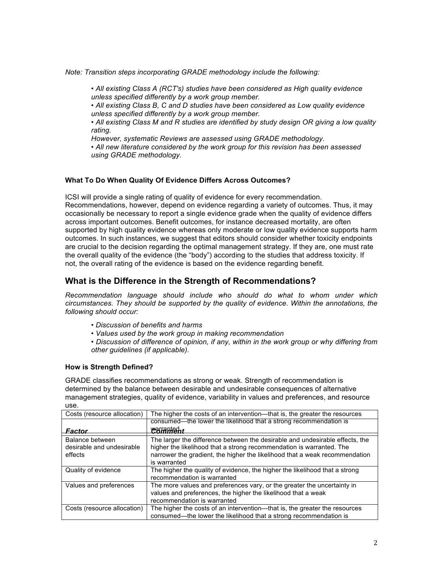*Note: Transition steps incorporating GRADE methodology include the following:*

• *All existing Class A (RCT's) studies have been considered as High quality evidence unless specified differently by a work group member.*

*• All existing Class B, C and D studies have been considered as Low quality evidence unless specified differently by a work group member.*

*• All existing Class M and R studies are identified by study design OR giving a low quality rating.*

*However, systematic Reviews are assessed using GRADE methodology.*

*• All new literature considered by the work group for this revision has been assessed using GRADE methodology.* 

#### **What To Do When Quality Of Evidence Differs Across Outcomes?**

ICSI will provide a single rating of quality of evidence for every recommendation. Recommendations, however, depend on evidence regarding a variety of outcomes. Thus, it may occasionally be necessary to report a single evidence grade when the quality of evidence differs across important outcomes. Benefit outcomes, for instance decreased mortality, are often supported by high quality evidence whereas only moderate or low quality evidence supports harm outcomes. In such instances, we suggest that editors should consider whether toxicity endpoints are crucial to the decision regarding the optimal management strategy. If they are, one must rate the overall quality of the evidence (the "body") according to the studies that address toxicity. If not, the overall rating of the evidence is based on the evidence regarding benefit.

### **What is the Difference in the Strength of Recommendations?**

*Recommendation language should include who should do what to whom under which circumstances. They should be supported by the quality of evidence. Within the annotations, the following should occur:*

- *Discussion of benefits and harms*
- *Values used by the work group in making recommendation*

*• Discussion of difference of opinion, if any, within in the work group or why differing from other guidelines (if applicable).*

#### **How is Strength Defined?**

GRADE classifies recommendations as strong or weak. Strength of recommendation is determined by the balance between desirable and undesirable consequences of alternative management strategies, quality of evidence, variability in values and preferences, and resource use.

| Costs (resource allocation)                             | The higher the costs of an intervention—that is, the greater the resources                                                                                                                                                                          |  |
|---------------------------------------------------------|-----------------------------------------------------------------------------------------------------------------------------------------------------------------------------------------------------------------------------------------------------|--|
|                                                         | consumed—the lower the likelihood that a strong recommendation is                                                                                                                                                                                   |  |
| Factor                                                  | <u>warrantech r</u>                                                                                                                                                                                                                                 |  |
| Balance between<br>desirable and undesirable<br>effects | The larger the difference between the desirable and undesirable effects, the<br>higher the likelihood that a strong recommendation is warranted. The<br>narrower the gradient, the higher the likelihood that a weak recommendation<br>is warranted |  |
| Quality of evidence                                     | The higher the quality of evidence, the higher the likelihood that a strong<br>recommendation is warranted                                                                                                                                          |  |
| Values and preferences                                  | The more values and preferences vary, or the greater the uncertainty in<br>values and preferences, the higher the likelihood that a weak<br>recommendation is warranted                                                                             |  |
| Costs (resource allocation)                             | The higher the costs of an intervention—that is, the greater the resources<br>consumed-the lower the likelihood that a strong recommendation is                                                                                                     |  |